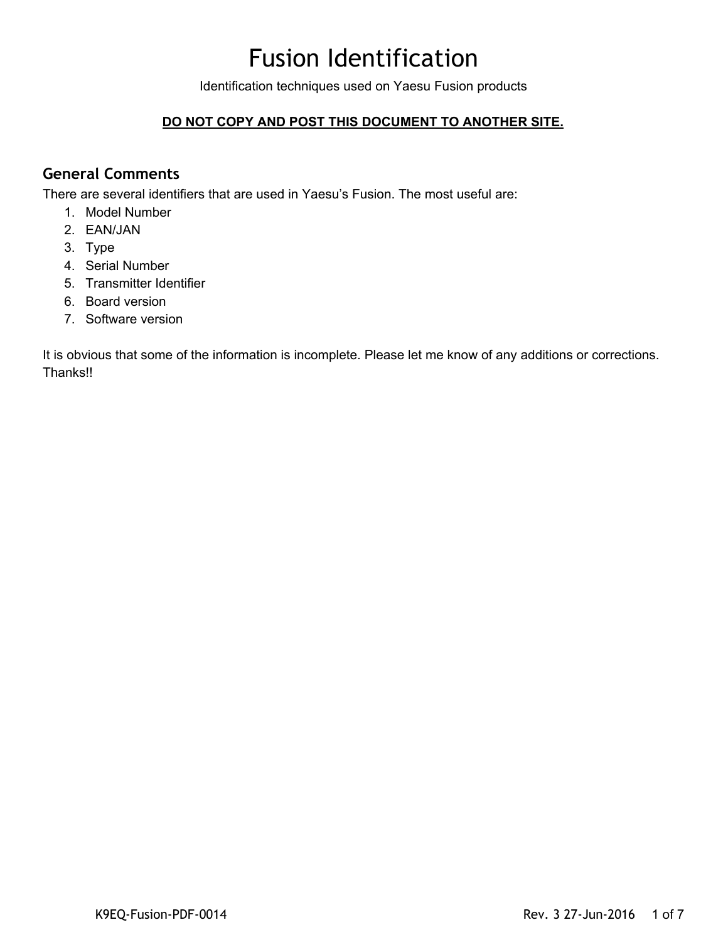# Fusion Identification

Identification techniques used on Yaesu Fusion products

#### **DO NOT COPY AND POST THIS DOCUMENT TO ANOTHER SITE.**

#### **General Comments**

There are several identifiers that are used in Yaesu's Fusion. The most useful are:

- 1. Model Number
- 2. EAN/JAN
- 3. Type
- 4. Serial Number
- 5. Transmitter Identifier
- 6. Board version
- 7. Software version

It is obvious that some of the information is incomplete. Please let me know of any additions or corrections. Thanks!!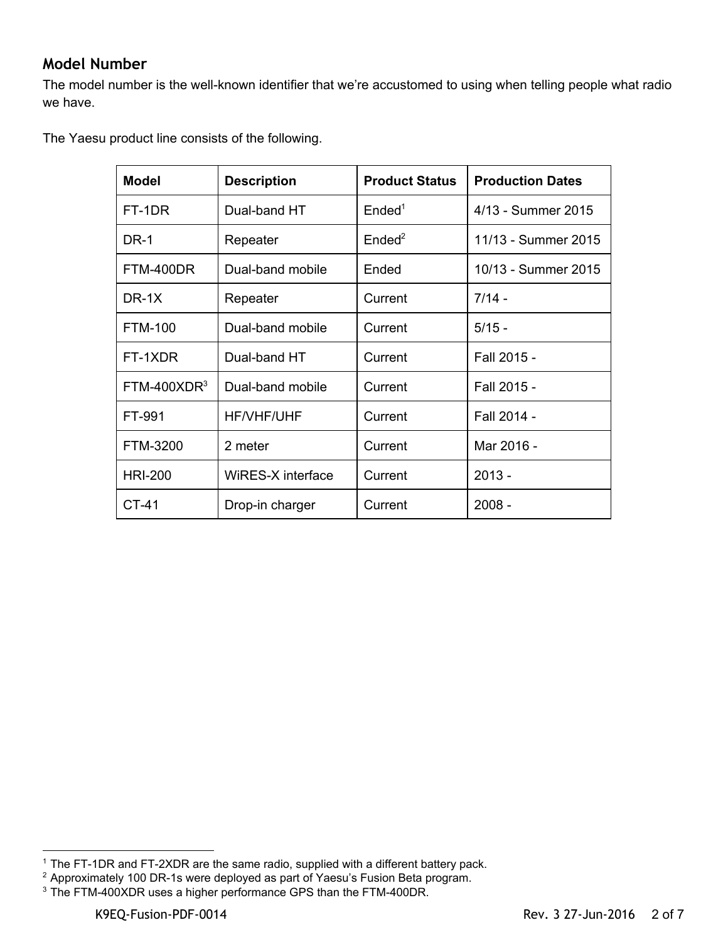### **Model Number**

The model number is the well-known identifier that we're accustomed to using when telling people what radio we have.

The Yaesu product line consists of the following.

| <b>Model</b>   | <b>Description</b> | <b>Product Status</b> | <b>Production Dates</b> |
|----------------|--------------------|-----------------------|-------------------------|
| FT-1DR         | Dual-band HT       | Ended <sup>1</sup>    | 4/13 - Summer 2015      |
| <b>DR-1</b>    | Repeater           | Ended <sup>2</sup>    | 11/13 - Summer 2015     |
| FTM-400DR      | Dual-band mobile   | Ended                 | 10/13 - Summer 2015     |
| $DR-1X$        | Repeater           | Current               | $7/14 -$                |
| <b>FTM-100</b> | Dual-band mobile   | Current               | $5/15 -$                |
| FT-1XDR        | Dual-band HT       | Current               | Fall 2015 -             |
| $FTM-400XDR3$  | Dual-band mobile   | Current               | Fall 2015 -             |
| FT-991         | <b>HF/VHF/UHF</b>  | Current               | Fall 2014 -             |
| FTM-3200       | 2 meter            | Current               | Mar 2016 -              |
| <b>HRI-200</b> | WiRES-X interface  | Current               | $2013 -$                |
| CT-41          | Drop-in charger    | Current               | $2008 -$                |

 $1$  The FT-1DR and FT-2XDR are the same radio, supplied with a different battery pack.

 $2$  Approximately 100 DR-1s were deployed as part of Yaesu's Fusion Beta program.

 $3$  The FTM-400XDR uses a higher performance GPS than the FTM-400DR.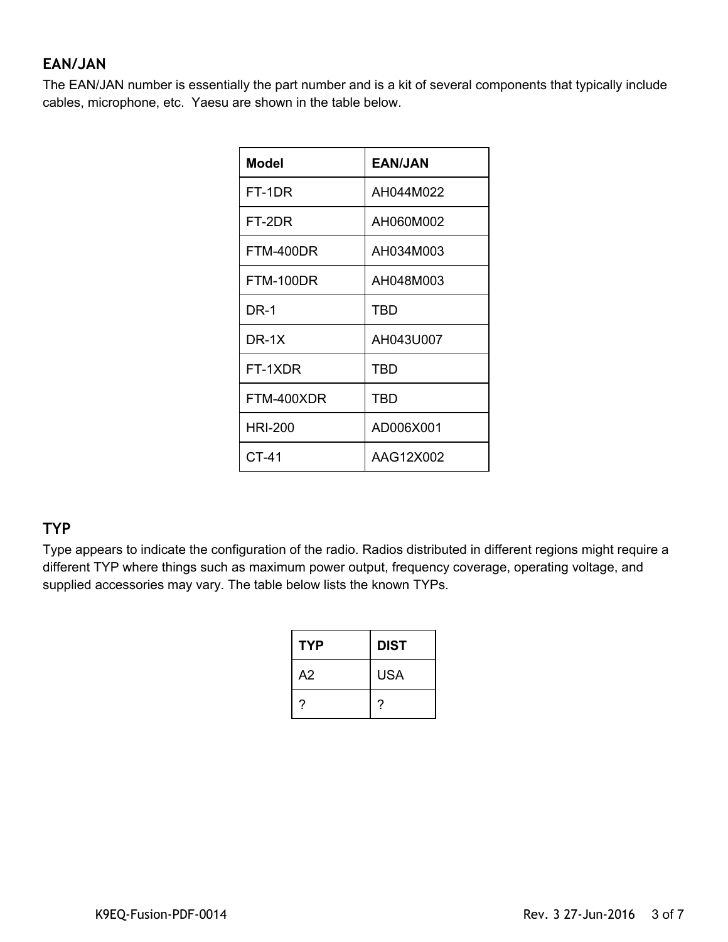### **EAN/JAN**

The EAN/JAN number is essentially the part number and is a kit of several components that typically include cables, microphone, etc. Yaesu are shown in the table below.

| Model          | <b>EAN/JAN</b> |  |
|----------------|----------------|--|
| FT-1DR         | AH044M022      |  |
| FT-2DR         | AH060M002      |  |
| FTM-400DR      | AH034M003      |  |
| FTM-100DR      | AH048M003      |  |
| DR-1           | TBD            |  |
| $DR-1X$        | AH043U007      |  |
| FT-1XDR        | TBD            |  |
| FTM-400XDR     | TBD            |  |
| <b>HRI-200</b> | AD006X001      |  |
| $CT-41$        | AAG12X002      |  |

## **TYP**

Type appears to indicate the configuration of the radio. Radios distributed in different regions might require a different TYP where things such as maximum power output, frequency coverage, operating voltage, and supplied accessories may vary. The table below lists the known TYPs.

| <b>TYP</b> | <b>DIST</b> |
|------------|-------------|
| A2         | <b>USA</b>  |
| 7          | 7           |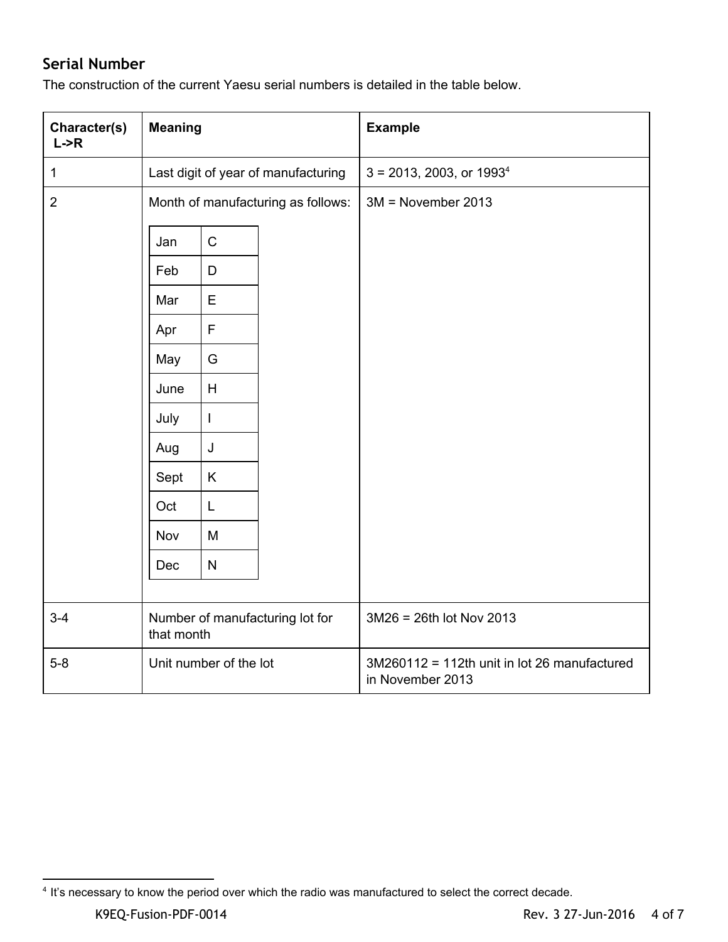## **Serial Number**

The construction of the current Yaesu serial numbers is detailed in the table below.

| Character(s)<br>L > R | <b>Meaning</b>                      |                          |                                 | <b>Example</b>                                                   |
|-----------------------|-------------------------------------|--------------------------|---------------------------------|------------------------------------------------------------------|
| $\mathbf{1}$          | Last digit of year of manufacturing |                          |                                 | $3 = 2013$ , 2003, or 1993 <sup>4</sup>                          |
| $\overline{2}$        | Month of manufacturing as follows:  |                          |                                 | $3M = November 2013$                                             |
|                       | Jan                                 | $\mathsf{C}$             |                                 |                                                                  |
|                       | Feb                                 | $\mathsf D$              |                                 |                                                                  |
|                       | Mar                                 | E                        |                                 |                                                                  |
|                       | Apr                                 | $\mathsf F$              |                                 |                                                                  |
|                       | May                                 | G                        |                                 |                                                                  |
|                       | June                                | H                        |                                 |                                                                  |
|                       | July                                | $\overline{\phantom{a}}$ |                                 |                                                                  |
|                       | Aug                                 | J                        |                                 |                                                                  |
|                       | Sept                                | K                        |                                 |                                                                  |
|                       | Oct                                 | L                        |                                 |                                                                  |
|                       | Nov                                 | M                        |                                 |                                                                  |
|                       | Dec                                 | $\mathsf{N}$             |                                 |                                                                  |
|                       |                                     |                          |                                 |                                                                  |
| $3 - 4$               | that month                          |                          | Number of manufacturing lot for | 3M26 = 26th lot Nov 2013                                         |
| $5-8$                 |                                     | Unit number of the lot   |                                 | 3M260112 = 112th unit in lot 26 manufactured<br>in November 2013 |

<sup>4</sup> It's necessary to know the period over which the radio was manufactured to select the correct decade.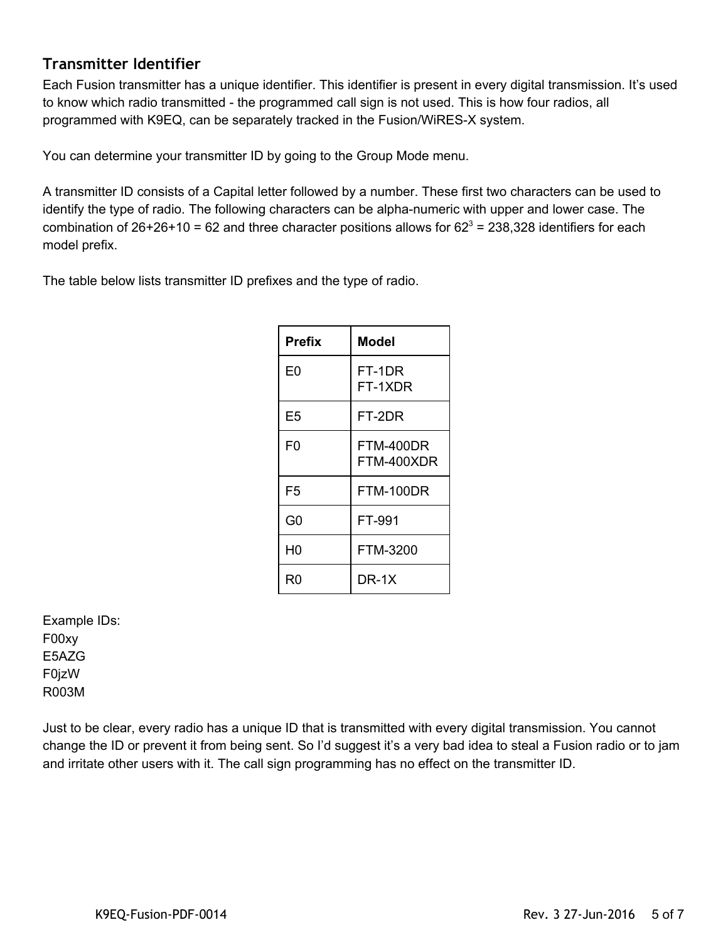### **Transmitter Identifier**

Each Fusion transmitter has a unique identifier. This identifier is present in every digital transmission. It's used to know which radio transmitted - the programmed call sign is not used. This is how four radios, all programmed with K9EQ, can be separately tracked in the Fusion/WiRES-X system.

You can determine your transmitter ID by going to the Group Mode menu.

A transmitter ID consists of a Capital letter followed by a number. These first two characters can be used to identify the type of radio. The following characters can be alpha-numeric with upper and lower case. The combination of  $26+26+10 = 62$  and three character positions allows for  $62^3 = 238,328$  identifiers for each model prefix.

The table below lists transmitter ID prefixes and the type of radio.

| Prefix         | Model                   |
|----------------|-------------------------|
| E <sub>0</sub> | FT-1DR<br>FT-1XDR       |
| E <sub>5</sub> | FT-2DR                  |
| F0             | FTM-400DR<br>FTM-400XDR |
| F5             | FTM-100DR               |
| G0             | FT-991                  |
| H <sub>0</sub> | FTM-3200                |
| R0             | DR-1X                   |

Example IDs: F00xy E5AZG F0jzW R003M

Just to be clear, every radio has a unique ID that is transmitted with every digital transmission. You cannot change the ID or prevent it from being sent. So I'd suggest it's a very bad idea to steal a Fusion radio or to jam and irritate other users with it. The call sign programming has no effect on the transmitter ID.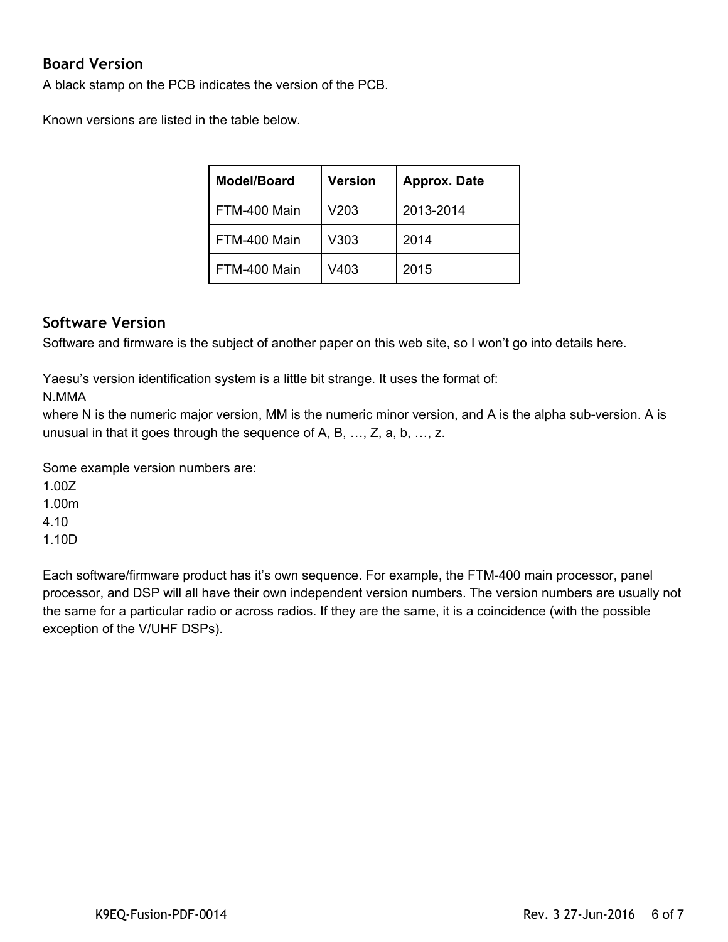### **Board Version**

A black stamp on the PCB indicates the version of the PCB.

Known versions are listed in the table below.

| Model/Board  | <b>Version</b> | <b>Approx. Date</b> |
|--------------|----------------|---------------------|
| FTM-400 Main | V203           | 2013-2014           |
| FTM-400 Main | V303           | 2014                |
| FTM-400 Main | V403           | 2015                |

#### **Software Version**

Software and firmware is the subject of another paper on this web site, so I won't go into details here.

Yaesu's version identification system is a little bit strange. It uses the format of:

N.MMA

where N is the numeric major version, MM is the numeric minor version, and A is the alpha sub-version. A is unusual in that it goes through the sequence of A, B, …, Z, a, b, …, z.

Some example version numbers are:

1.00Z

1.00m

4.10

1.10D

Each software/firmware product has it's own sequence. For example, the FTM-400 main processor, panel processor, and DSP will all have their own independent version numbers. The version numbers are usually not the same for a particular radio or across radios. If they are the same, it is a coincidence (with the possible exception of the V/UHF DSPs).